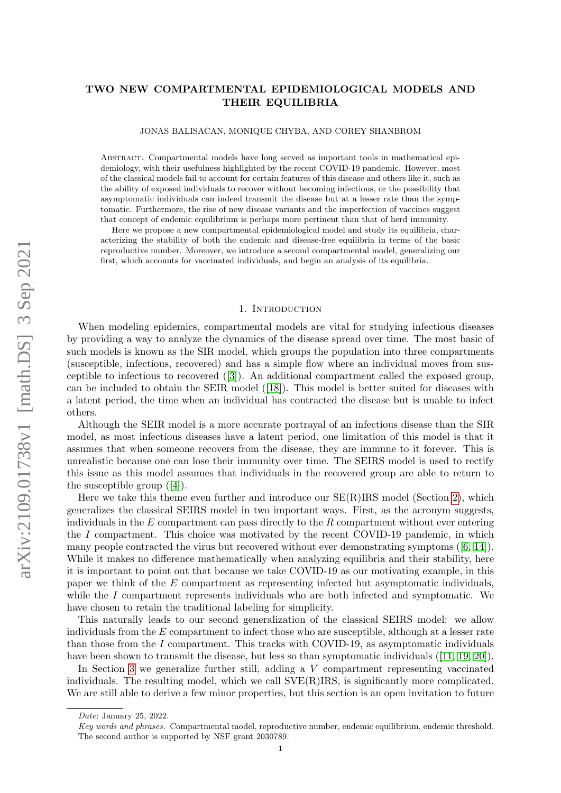# TWO NEW COMPARTMENTAL EPIDEMIOLOGICAL MODELS AND THEIR EQUILIBRIA

JONAS BALISACAN, MONIQUE CHYBA, AND COREY SHANBROM

Abstract. Compartmental models have long served as important tools in mathematical epidemiology, with their usefulness highlighted by the recent COVID-19 pandemic. However, most of the classical models fail to account for certain features of this disease and others like it, such as the ability of exposed individuals to recover without becoming infectious, or the possibility that asymptomatic individuals can indeed transmit the disease but at a lesser rate than the symptomatic. Furthermore, the rise of new disease variants and the imperfection of vaccines suggest that concept of endemic equilibrium is perhaps more pertinent than that of herd immunity.

Here we propose a new compartmental epidemiological model and study its equilibria, characterizing the stability of both the endemic and disease-free equilibria in terms of the basic reproductive number. Moreover, we introduce a second compartmental model, generalizing our first, which accounts for vaccinated individuals, and begin an analysis of its equilibria.

#### 1. INTRODUCTION

<span id="page-0-0"></span>When modeling epidemics, compartmental models are vital for studying infectious diseases by providing a way to analyze the dynamics of the disease spread over time. The most basic of such models is known as the SIR model, which groups the population into three compartments (susceptible, infectious, recovered) and has a simple flow where an individual moves from susceptible to infectious to recovered ([\[3\]](#page-11-0)). An additional compartment called the exposed group, can be included to obtain the SEIR model ([\[18\]](#page-11-1)). This model is better suited for diseases with a latent period, the time when an individual has contracted the disease but is unable to infect others.

Although the SEIR model is a more accurate portrayal of an infectious disease than the SIR model, as most infectious diseases have a latent period, one limitation of this model is that it assumes that when someone recovers from the disease, they are immune to it forever. This is unrealistic because one can lose their immunity over time. The SEIRS model is used to rectify this issue as this model assumes that individuals in the recovered group are able to return to the susceptible group  $([4])$  $([4])$  $([4])$ .

Here we take this theme even further and introduce our  $SE(R)$  IRS model (Section [2\)](#page-1-0), which generalizes the classical SEIRS model in two important ways. First, as the acronym suggests, individuals in the  $E$  compartment can pass directly to the  $R$  compartment without ever entering the  $I$  compartment. This choice was motivated by the recent COVID-19 pandemic, in which many people contracted the virus but recovered without ever demonstrating symptoms ([\[6,](#page-11-3) [14\]](#page-11-4)). While it makes no difference mathematically when analyzing equilibria and their stability, here it is important to point out that because we take COVID-19 as our motivating example, in this paper we think of the E compartment as representing infected but asymptomatic individuals, while the  $I$  compartment represents individuals who are both infected and symptomatic. We have chosen to retain the traditional labeling for simplicity.

This naturally leads to our second generalization of the classical SEIRS model: we allow individuals from the  $E$  compartment to infect those who are susceptible, although at a lesser rate than those from the I compartment. This tracks with COVID-19, as asymptomatic individuals have been shown to transmit the disease, but less so than symptomatic individuals ([\[11,](#page-11-5) [19,](#page-11-6) [20\]](#page-11-7)).

In Section [3](#page-6-0) we generalize further still, adding a V compartment representing vaccinated individuals. The resulting model, which we call SVE(R)IRS, is significantly more complicated. We are still able to derive a few minor properties, but this section is an open invitation to future

Date: January 25, 2022.

Key words and phrases. Compartmental model, reproductive number, endemic equilibrium, endemic threshold. The second author is supported by NSF grant 2030789.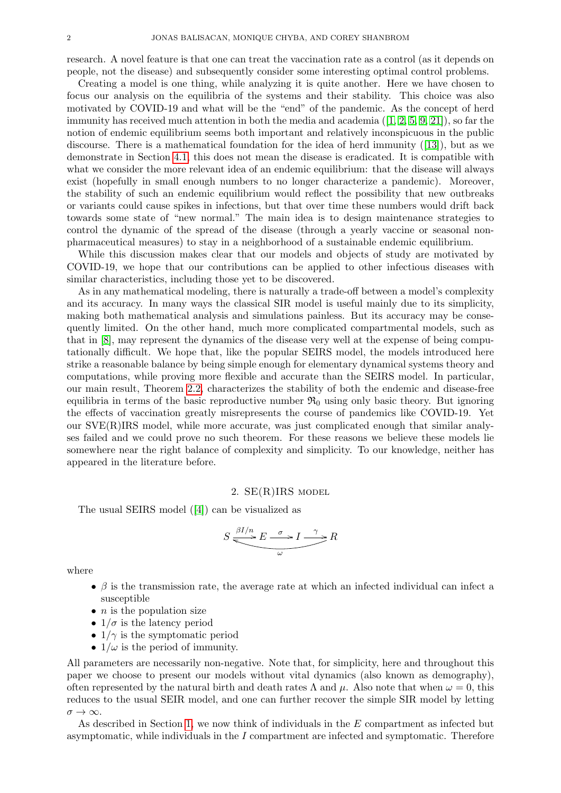research. A novel feature is that one can treat the vaccination rate as a control (as it depends on people, not the disease) and subsequently consider some interesting optimal control problems.

Creating a model is one thing, while analyzing it is quite another. Here we have chosen to focus our analysis on the equilibria of the systems and their stability. This choice was also motivated by COVID-19 and what will be the "end" of the pandemic. As the concept of herd immunity has received much attention in both the media and academia  $(1, 2, 5, 9, 21)$  $(1, 2, 5, 9, 21)$  $(1, 2, 5, 9, 21)$  $(1, 2, 5, 9, 21)$  $(1, 2, 5, 9, 21)$ , so far the notion of endemic equilibrium seems both important and relatively inconspicuous in the public discourse. There is a mathematical foundation for the idea of herd immunity ([\[13\]](#page-11-13)), but as we demonstrate in Section [4.1,](#page-9-0) this does not mean the disease is eradicated. It is compatible with what we consider the more relevant idea of an endemic equilibrium: that the disease will always exist (hopefully in small enough numbers to no longer characterize a pandemic). Moreover, the stability of such an endemic equilibrium would reflect the possibility that new outbreaks or variants could cause spikes in infections, but that over time these numbers would drift back towards some state of "new normal." The main idea is to design maintenance strategies to control the dynamic of the spread of the disease (through a yearly vaccine or seasonal nonpharmaceutical measures) to stay in a neighborhood of a sustainable endemic equilibrium.

While this discussion makes clear that our models and objects of study are motivated by COVID-19, we hope that our contributions can be applied to other infectious diseases with similar characteristics, including those yet to be discovered.

As in any mathematical modeling, there is naturally a trade-off between a model's complexity and its accuracy. In many ways the classical SIR model is useful mainly due to its simplicity, making both mathematical analysis and simulations painless. But its accuracy may be consequently limited. On the other hand, much more complicated compartmental models, such as that in [\[8\]](#page-11-14), may represent the dynamics of the disease very well at the expense of being computationally difficult. We hope that, like the popular SEIRS model, the models introduced here strike a reasonable balance by being simple enough for elementary dynamical systems theory and computations, while proving more flexible and accurate than the SEIRS model. In particular, our main result, Theorem [2.2,](#page-3-0) characterizes the stability of both the endemic and disease-free equilibria in terms of the basic reproductive number  $\mathfrak{R}_0$  using only basic theory. But ignoring the effects of vaccination greatly misrepresents the course of pandemics like COVID-19. Yet our SVE(R)IRS model, while more accurate, was just complicated enough that similar analyses failed and we could prove no such theorem. For these reasons we believe these models lie somewhere near the right balance of complexity and simplicity. To our knowledge, neither has appeared in the literature before.

## 2. SE(R)IRS model

<span id="page-1-0"></span>The usual SEIRS model ([\[4\]](#page-11-2)) can be visualized as

$$
S \xrightarrow{\beta I/n} E \xrightarrow{\sigma} I \xrightarrow{\gamma} R
$$

where

- $\beta$  is the transmission rate, the average rate at which an infected individual can infect a susceptible
- $\bullet$  *n* is the population size
- $1/\sigma$  is the latency period
- $1/\gamma$  is the symptomatic period
- $1/\omega$  is the period of immunity.

All parameters are necessarily non-negative. Note that, for simplicity, here and throughout this paper we choose to present our models without vital dynamics (also known as demography), often represented by the natural birth and death rates  $\Lambda$  and  $\mu$ . Also note that when  $\omega = 0$ , this reduces to the usual SEIR model, and one can further recover the simple SIR model by letting  $\sigma \rightarrow \infty$ .

As described in Section [1,](#page-0-0) we now think of individuals in the E compartment as infected but asymptomatic, while individuals in the  $I$  compartment are infected and symptomatic. Therefore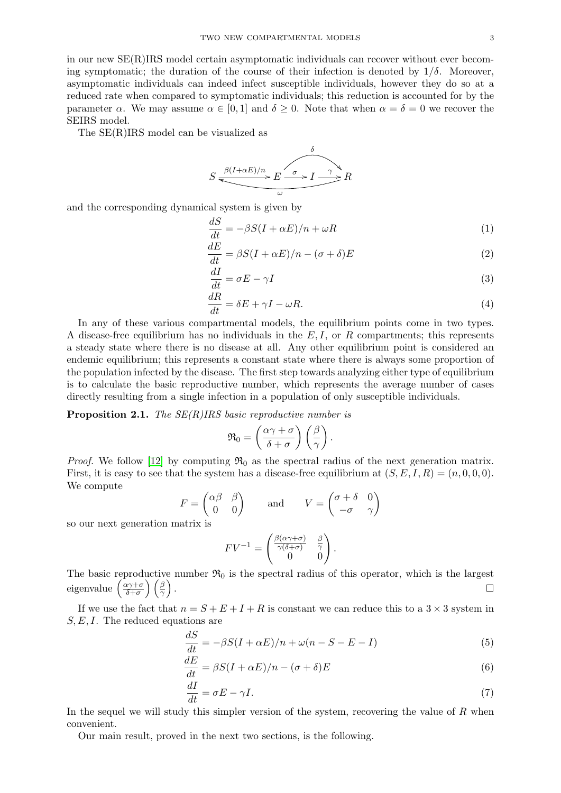in our new SE(R)IRS model certain asymptomatic individuals can recover without ever becoming symptomatic; the duration of the course of their infection is denoted by  $1/\delta$ . Moreover, asymptomatic individuals can indeed infect susceptible individuals, however they do so at a reduced rate when compared to symptomatic individuals; this reduction is accounted for by the parameter  $\alpha$ . We may assume  $\alpha \in [0,1]$  and  $\delta \geq 0$ . Note that when  $\alpha = \delta = 0$  we recover the SEIRS model.

The SE(R)IRS model can be visualized as

$$
S \xrightarrow{\beta(I+\alpha E)/n} E \xrightarrow{\delta} I \xrightarrow{\gamma} R
$$

and the corresponding dynamical system is given by

$$
\frac{dS}{dt} = -\beta S(I + \alpha E)/n + \omega R\tag{1}
$$

$$
\frac{dE}{dt} = \beta S(I + \alpha E)/n - (\sigma + \delta)E
$$
\n(2)

$$
\frac{dI}{dt} = \sigma E - \gamma I \tag{3}
$$

$$
\frac{dR}{dt} = \delta E + \gamma I - \omega R. \tag{4}
$$

In any of these various compartmental models, the equilibrium points come in two types. A disease-free equilibrium has no individuals in the  $E, I$ , or R compartments; this represents a steady state where there is no disease at all. Any other equilibrium point is considered an endemic equilibrium; this represents a constant state where there is always some proportion of the population infected by the disease. The first step towards analyzing either type of equilibrium is to calculate the basic reproductive number, which represents the average number of cases directly resulting from a single infection in a population of only susceptible individuals.

**Proposition 2.1.** The  $SE(R)$  IRS basic reproductive number is

$$
\mathfrak{R}_0 = \left(\frac{\alpha \gamma + \sigma}{\delta + \sigma}\right) \left(\frac{\beta}{\gamma}\right).
$$

*Proof.* We follow [\[12\]](#page-11-15) by computing  $\mathfrak{R}_0$  as the spectral radius of the next generation matrix. First, it is easy to see that the system has a disease-free equilibrium at  $(S, E, I, R) = (n, 0, 0, 0)$ . We compute

$$
F = \begin{pmatrix} \alpha \beta & \beta \\ 0 & 0 \end{pmatrix} \quad \text{and} \quad V = \begin{pmatrix} \sigma + \delta & 0 \\ -\sigma & \gamma \end{pmatrix}
$$

so our next generation matrix is

$$
FV^{-1} = \begin{pmatrix} \frac{\beta(\alpha \gamma + \sigma)}{\gamma(\delta + \sigma)} & \frac{\beta}{\gamma} \\ 0 & 0 \end{pmatrix}.
$$

The basic reproductive number  $\mathfrak{R}_0$  is the spectral radius of this operator, which is the largest eigenvalue  $\left(\frac{\alpha \gamma + \sigma}{\delta + \sigma}\right)$  $\left(\frac{\alpha\gamma+\sigma}{\delta+\sigma}\right)\left(\frac{\beta}{\gamma}\right)$ .

If we use the fact that  $n = S + E + I + R$  is constant we can reduce this to a  $3 \times 3$  system in  $S, E, I$ . The reduced equations are

$$
\frac{dS}{dt} = -\beta S(I + \alpha E)/n + \omega(n - S - E - I)
$$
\n(5)

$$
\frac{dE}{dt} = \beta S(I + \alpha E)/n - (\sigma + \delta)E
$$
\n(6)

$$
\frac{dI}{dt} = \sigma E - \gamma I. \tag{7}
$$

In the sequel we will study this simpler version of the system, recovering the value of  $R$  when convenient.

Our main result, proved in the next two sections, is the following.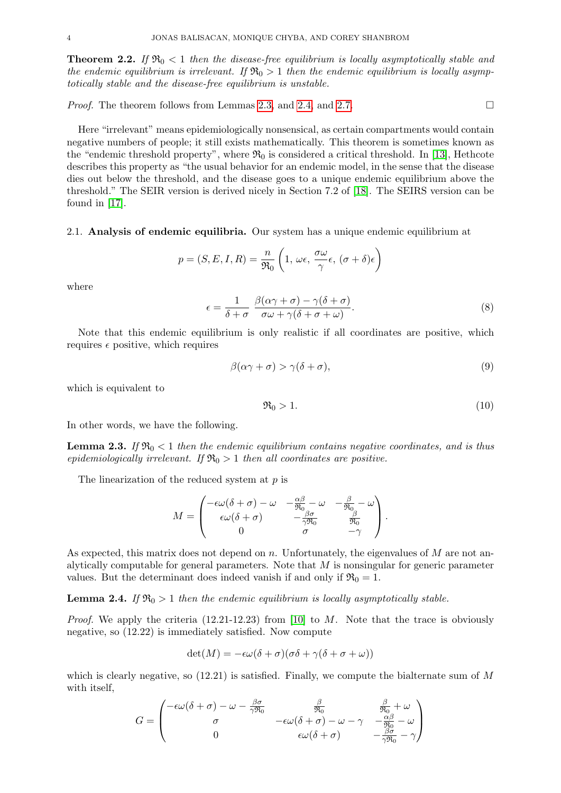<span id="page-3-0"></span>**Theorem 2.2.** If  $\mathfrak{R}_0 < 1$  then the disease-free equilibrium is locally asymptotically stable and the endemic equilibrium is irrelevant. If  $\mathfrak{R}_0 > 1$  then the endemic equilibrium is locally asymptotically stable and the disease-free equilibrium is unstable.

*Proof.* The theorem follows from Lemmas [2.3,](#page-3-1) and [2.4,](#page-3-2) and [2.7.](#page-5-0)

Here "irrelevant" means epidemiologically nonsensical, as certain compartments would contain negative numbers of people; it still exists mathematically. This theorem is sometimes known as the "endemic threshold property", where  $\mathfrak{R}_0$  is considered a critical threshold. In [\[13\]](#page-11-13), Hethcote describes this property as "the usual behavior for an endemic model, in the sense that the disease dies out below the threshold, and the disease goes to a unique endemic equilibrium above the threshold." The SEIR version is derived nicely in Section 7.2 of [\[18\]](#page-11-1). The SEIRS version can be found in [\[17\]](#page-11-16).

2.1. Analysis of endemic equilibria. Our system has a unique endemic equilibrium at

$$
p = (S, E, I, R) = \frac{n}{\Re_0} \left( 1, \, \omega \epsilon, \, \frac{\sigma \omega}{\gamma} \epsilon, \, (\sigma + \delta) \epsilon \right)
$$

where

$$
\epsilon = \frac{1}{\delta + \sigma} \frac{\beta(\alpha \gamma + \sigma) - \gamma(\delta + \sigma)}{\sigma \omega + \gamma(\delta + \sigma + \omega)}.
$$
\n(8)

Note that this endemic equilibrium is only realistic if all coordinates are positive, which requires  $\epsilon$  positive, which requires

$$
\beta(\alpha \gamma + \sigma) > \gamma(\delta + \sigma),\tag{9}
$$

which is equivalent to

$$
\Re_0 > 1. \tag{10}
$$

In other words, we have the following.

<span id="page-3-1"></span>**Lemma 2.3.** If  $\mathfrak{R}_0 < 1$  then the endemic equilibrium contains negative coordinates, and is thus epidemiologically irrelevant. If  $\mathfrak{R}_0 > 1$  then all coordinates are positive.

The linearization of the reduced system at p is

$$
M = \begin{pmatrix} -\epsilon \omega (\delta + \sigma) - \omega & -\frac{\alpha \beta}{\Re_0} - \omega & -\frac{\beta}{\Re_0} - \omega \\ \epsilon \omega (\delta + \sigma) & -\frac{\beta \sigma}{\gamma \Re_0} & \frac{\beta}{\Re_0} \\ 0 & \sigma & -\gamma \end{pmatrix}.
$$

As expected, this matrix does not depend on n. Unfortunately, the eigenvalues of  $M$  are not analytically computable for general parameters. Note that  $M$  is nonsingular for generic parameter values. But the determinant does indeed vanish if and only if  $\mathfrak{R}_0 = 1$ .

<span id="page-3-2"></span>**Lemma 2.4.** If  $\mathfrak{R}_0 > 1$  then the endemic equilibrium is locally asymptotically stable.

*Proof.* We apply the criteria  $(12.21-12.23)$  from [\[10\]](#page-11-17) to M. Note that the trace is obviously negative, so (12.22) is immediately satisfied. Now compute

$$
\det(M) = -\epsilon \omega(\delta + \sigma)(\sigma \delta + \gamma(\delta + \sigma + \omega))
$$

which is clearly negative, so  $(12.21)$  is satisfied. Finally, we compute the bialternate sum of M with itself,

$$
G = \begin{pmatrix} -\epsilon \omega (\delta + \sigma) - \omega - \frac{\beta \sigma}{\gamma \Re_0} & \frac{\beta}{\Re_0} & \frac{\beta}{\Re_0} + \omega \\ \sigma & -\epsilon \omega (\delta + \sigma) - \omega - \gamma & -\frac{\alpha \beta}{\Re_0} - \omega \\ 0 & \epsilon \omega (\delta + \sigma) & -\frac{\beta \sigma}{\gamma \Re_0} - \gamma \end{pmatrix}
$$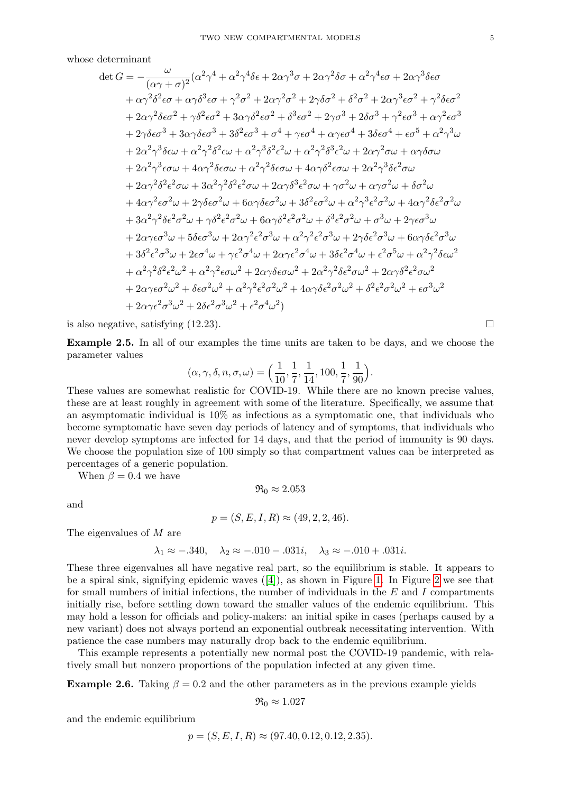whose determinant

$$
\det G = -\frac{\omega}{(\alpha\gamma + \sigma)^2} (\alpha^2 \gamma^4 + \alpha^2 \gamma^4 \delta \epsilon + 2\alpha \gamma^3 \sigma + 2\alpha \gamma^2 \delta \sigma + \alpha^2 \gamma^4 \epsilon \sigma + 2\alpha \gamma^3 \delta \epsilon \sigma
$$
  
+  $\alpha \gamma^2 \delta^2 \epsilon \sigma + \alpha \gamma \delta^3 \epsilon \sigma + \gamma^2 \sigma^2 + 2\alpha \gamma^2 \sigma^2 + 2\gamma \delta \sigma^2 + \delta^2 \sigma^2 + 2\alpha \gamma^3 \epsilon \sigma^2 + \gamma^2 \delta \epsilon \sigma^2$   
+  $2\alpha \gamma^2 \delta \epsilon \sigma^2 + \gamma \delta^2 \epsilon \sigma^2 + 3\alpha \gamma \delta^2 \epsilon \sigma^2 + \delta^3 \epsilon \sigma^2 + 2\gamma \sigma^3 + 2\delta \sigma^3 + \gamma^2 \epsilon \sigma^3 + \alpha \gamma^2 \epsilon \sigma^3$   
+  $2\gamma \delta \epsilon \sigma^3 + 3\alpha \gamma \delta \epsilon \sigma^3 + 3\delta^2 \epsilon \sigma^3 + \sigma^4 + \gamma \epsilon \sigma^4 + \alpha \gamma \epsilon \sigma^4 + 3\delta \epsilon \sigma^4 + \epsilon \sigma^5 + \alpha^2 \gamma^3 \omega$   
+  $2\alpha^2 \gamma^3 \delta \epsilon \omega + \alpha^2 \gamma^2 \delta^2 \epsilon \omega + \alpha^2 \gamma^3 \delta^2 \epsilon^2 \omega + \alpha^2 \gamma^2 \delta^3 \epsilon^2 \omega + 2\alpha \gamma^2 \sigma \omega + \alpha \gamma \delta \sigma \omega$   
+  $2\alpha^2 \gamma^3 \epsilon \sigma \omega + 4\alpha \gamma^2 \delta \epsilon \sigma \omega + \alpha^2 \gamma^2 \delta \epsilon \sigma \omega + 4\alpha \gamma \delta^2 \epsilon \sigma \omega + 2\alpha^2 \gamma^3 \delta \epsilon^2 \sigma \omega$   
+  $2\alpha \gamma^2 \delta^2 \epsilon^2 \sigma \omega + 3\alpha^2 \gamma^2 \delta^2 \epsilon^2 \sigma \omega + 2\alpha \gamma \delta^3 \epsilon^2 \sigma \omega + \gamma \sigma^2 \omega + \alpha \gamma \sigma^2 \omega + \delta \sigma^2 \omega$   
+  $4\alpha \gamma^2 \epsilon \sigma^2 \omega + 2\gamma \delta \epsilon \sigma^2 \omega + 6\alpha \gamma \delta \epsilon \sigma^2 \omega + 3\delta^$ 

is also negative, satisfying  $(12.23)$ .

<span id="page-4-0"></span>Example 2.5. In all of our examples the time units are taken to be days, and we choose the parameter values

$$
(\alpha, \gamma, \delta, n, \sigma, \omega) = \left(\frac{1}{10}, \frac{1}{7}, \frac{1}{14}, 100, \frac{1}{7}, \frac{1}{90}\right).
$$

These values are somewhat realistic for COVID-19. While there are no known precise values, these are at least roughly in agreement with some of the literature. Specifically, we assume that an asymptomatic individual is 10% as infectious as a symptomatic one, that individuals who become symptomatic have seven day periods of latency and of symptoms, that individuals who never develop symptoms are infected for 14 days, and that the period of immunity is 90 days. We choose the population size of 100 simply so that compartment values can be interpreted as percentages of a generic population.

When  $\beta = 0.4$  we have

$$
\mathfrak{R}_0 \approx 2.053
$$

and

$$
p = (S, E, I, R) \approx (49, 2, 2, 46).
$$

The eigenvalues of M are

$$
\lambda_1 \approx -.340, \quad \lambda_2 \approx -.010 - .031i, \quad \lambda_3 \approx -.010 + .031i.
$$

These three eigenvalues all have negative real part, so the equilibrium is stable. It appears to be a spiral sink, signifying epidemic waves  $([4])$  $([4])$  $([4])$ , as shown in Figure [1.](#page-5-1) In Figure [2](#page-5-2) we see that for small numbers of initial infections, the number of individuals in the  $E$  and  $I$  compartments initially rise, before settling down toward the smaller values of the endemic equilibrium. This may hold a lesson for officials and policy-makers: an initial spike in cases (perhaps caused by a new variant) does not always portend an exponential outbreak necessitating intervention. With patience the case numbers may naturally drop back to the endemic equilibrium.

This example represents a potentially new normal post the COVID-19 pandemic, with relatively small but nonzero proportions of the population infected at any given time.

**Example 2.6.** Taking  $\beta = 0.2$  and the other parameters as in the previous example yields

$$
\mathfrak{R}_0 \approx 1.027
$$

and the endemic equilibrium

$$
p = (S, E, I, R) \approx (97.40, 0.12, 0.12, 2.35).
$$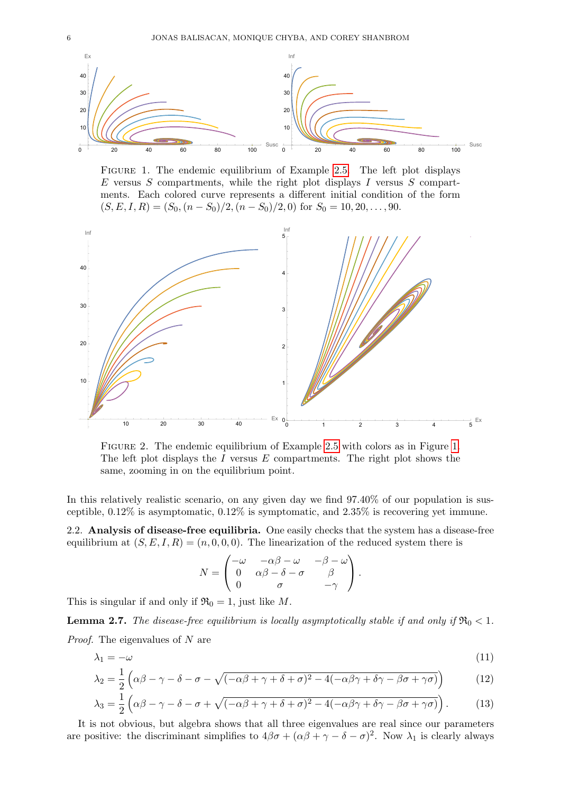<span id="page-5-1"></span>

Figure 1. The endemic equilibrium of Example [2.5.](#page-4-0) The left plot displays  $E$  versus  $S$  compartments, while the right plot displays  $I$  versus  $S$  compartments. Each colored curve represents a different initial condition of the form  $(S, E, I, R) = (S_0, (n - S_0)/2, (n - S_0)/2, 0)$  for  $S_0 = 10, 20, ..., 90$ .

<span id="page-5-2"></span>

Figure 2. The endemic equilibrium of Example [2.5](#page-4-0) with colors as in Figure [1.](#page-5-1) The left plot displays the  $I$  versus  $E$  compartments. The right plot shows the same, zooming in on the equilibrium point.

In this relatively realistic scenario, on any given day we find  $97.40\%$  of our population is susceptible, 0.12% is asymptomatic, 0.12% is symptomatic, and 2.35% is recovering yet immune.

2.2. Analysis of disease-free equilibria. One easily checks that the system has a disease-free equilibrium at  $(S, E, I, R) = (n, 0, 0, 0)$ . The linearization of the reduced system there is

$$
N = \begin{pmatrix} -\omega & -\alpha\beta - \omega & -\beta - \omega \\ 0 & \alpha\beta - \delta - \sigma & \beta \\ 0 & \sigma & -\gamma \end{pmatrix}.
$$

This is singular if and only if  $\mathfrak{R}_0 = 1$ , just like M.

<span id="page-5-0"></span>**Lemma 2.7.** The disease-free equilibrium is locally asymptotically stable if and only if  $\Re_0 < 1$ . Proof. The eigenvalues of N are

$$
\lambda_1 = -\omega \tag{11}
$$

$$
\lambda_2 = \frac{1}{2} \left( \alpha \beta - \gamma - \delta - \sigma - \sqrt{(-\alpha \beta + \gamma + \delta + \sigma)^2 - 4(-\alpha \beta \gamma + \delta \gamma - \beta \sigma + \gamma \sigma)} \right)
$$
(12)

$$
\lambda_3 = \frac{1}{2} \left( \alpha \beta - \gamma - \delta - \sigma + \sqrt{(-\alpha \beta + \gamma + \delta + \sigma)^2 - 4(-\alpha \beta \gamma + \delta \gamma - \beta \sigma + \gamma \sigma)} \right). \tag{13}
$$

It is not obvious, but algebra shows that all three eigenvalues are real since our parameters are positive: the discriminant simplifies to  $4\beta\sigma + (\alpha\beta + \gamma - \delta - \sigma)^2$ . Now  $\lambda_1$  is clearly always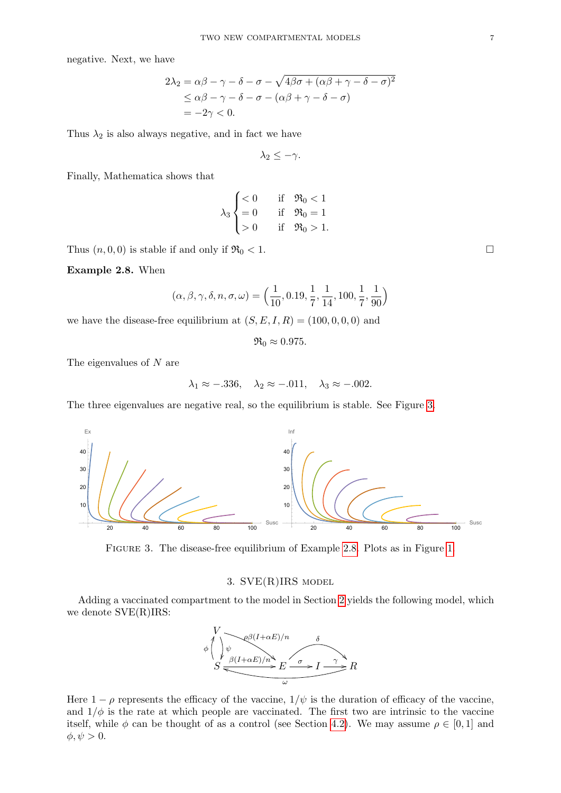negative. Next, we have

$$
2\lambda_2 = \alpha\beta - \gamma - \delta - \sigma - \sqrt{4\beta\sigma + (\alpha\beta + \gamma - \delta - \sigma)^2}
$$
  
\$\leq \alpha\beta - \gamma - \delta - \sigma - (\alpha\beta + \gamma - \delta - \sigma)\$  
= -2\gamma < 0.

Thus  $\lambda_2$  is also always negative, and in fact we have

 $\lambda_2 \leq -\gamma$ .

Finally, Mathematica shows that

$$
\lambda_3 \begin{cases} < 0 & \text{if } \Re_0 < 1 \\ = 0 & \text{if } \Re_0 = 1 \\ > 0 & \text{if } \Re_0 > 1. \end{cases}
$$

Thus  $(n, 0, 0)$  is stable if and only if  $\Re_0 < 1$ .

<span id="page-6-2"></span>Example 2.8. When

$$
(\alpha, \beta, \gamma, \delta, n, \sigma, \omega) = \left(\frac{1}{10}, 0.19, \frac{1}{7}, \frac{1}{14}, 100, \frac{1}{7}, \frac{1}{90}\right)
$$

we have the disease-free equilibrium at  $(S, E, I, R) = (100, 0, 0, 0)$  and

 $\Re_0 \approx 0.975$ .

The eigenvalues of N are

$$
\lambda_1 \approx -.336, \quad \lambda_2 \approx -.011, \quad \lambda_3 \approx -.002.
$$

The three eigenvalues are negative real, so the equilibrium is stable. See Figure [3.](#page-6-1)

<span id="page-6-1"></span>

Figure 3. The disease-free equilibrium of Example [2.8.](#page-6-2) Plots as in Figure [1.](#page-5-1)

# 3. SVE(R)IRS model

<span id="page-6-0"></span>Adding a vaccinated compartment to the model in Section [2](#page-1-0) yields the following model, which we denote SVE(R)IRS:



Here  $1 - \rho$  represents the efficacy of the vaccine,  $1/\psi$  is the duration of efficacy of the vaccine, and  $1/\phi$  is the rate at which people are vaccinated. The first two are intrinsic to the vaccine itself, while  $\phi$  can be thought of as a control (see Section [4.2\)](#page-10-0). We may assume  $\rho \in [0,1]$  and  $\phi, \psi > 0.$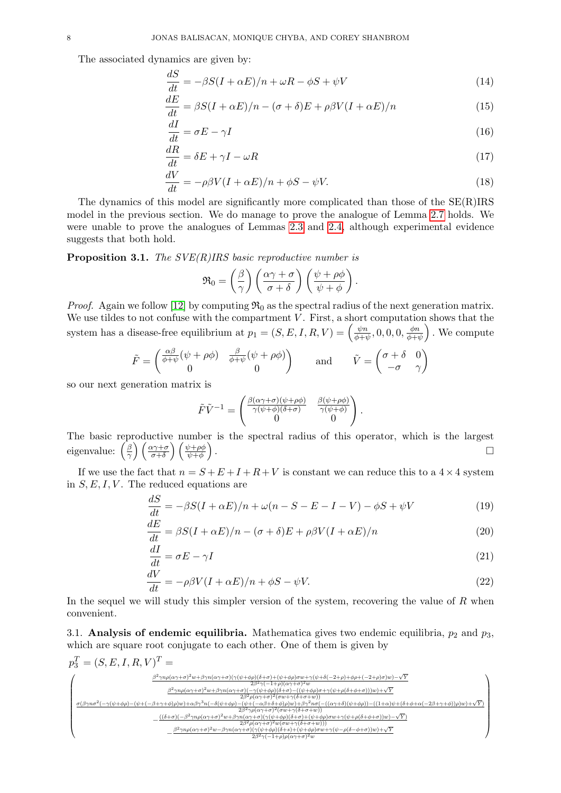The associated dynamics are given by:

$$
\frac{dS}{dt} = -\beta S(I + \alpha E)/n + \omega R - \phi S + \psi V \tag{14}
$$

$$
\frac{dE}{dt} = \beta S(I + \alpha E)/n - (\sigma + \delta)E + \rho \beta V(I + \alpha E)/n \tag{15}
$$

$$
\frac{dI}{dt} = \sigma E - \gamma I \tag{16}
$$

$$
\frac{dR}{dt} = \delta E + \gamma I - \omega R \tag{17}
$$

$$
\frac{dV}{dt} = -\rho\beta V(I + \alpha E)/n + \phi S - \psi V.
$$
\n(18)

The dynamics of this model are significantly more complicated than those of the SE(R)IRS model in the previous section. We do manage to prove the analogue of Lemma [2.7](#page-5-0) holds. We were unable to prove the analogues of Lemmas [2.3](#page-3-1) and [2.4,](#page-3-2) although experimental evidence suggests that both hold.

**Proposition 3.1.** The  $SVE(R)IRS$  basic reproductive number is

$$
\mathfrak{R}_0 = \left(\frac{\beta}{\gamma}\right) \left(\frac{\alpha \gamma + \sigma}{\sigma + \delta}\right) \left(\frac{\psi + \rho \phi}{\psi + \phi}\right).
$$

*Proof.* Again we follow [\[12\]](#page-11-15) by computing  $\mathfrak{R}_0$  as the spectral radius of the next generation matrix. We use tildes to not confuse with the compartment  $V$ . First, a short computation shows that the system has a disease-free equilibrium at  $p_1 = (S, E, I, R, V) = \begin{pmatrix} \frac{\psi R}{\phi + i} \end{pmatrix}$  $\frac{\psi n}{\phi + \psi}, 0, 0, 0, \frac{\phi n}{\phi + i}$  $\frac{\phi n}{\phi + \psi}$ . We compute

$$
\tilde{F} = \begin{pmatrix} \frac{\alpha\beta}{\phi + \psi} (\psi + \rho\phi) & \frac{\beta}{\phi + \psi} (\psi + \rho\phi) \\ 0 & 0 \end{pmatrix} \quad \text{and} \quad \tilde{V} = \begin{pmatrix} \sigma + \delta & 0 \\ -\sigma & \gamma \end{pmatrix}
$$

so our next generation matrix is

<span id="page-7-1"></span><span id="page-7-0"></span>
$$
\tilde{F}\tilde{V}^{-1} = \begin{pmatrix} \frac{\beta(\alpha\gamma+\sigma)(\psi+\rho\phi)}{\gamma(\psi+\phi)(\delta+\sigma)} & \frac{\beta(\psi+\rho\phi)}{\gamma(\psi+\phi)} \\ 0 & 0 \end{pmatrix}.
$$

The basic reproductive number is the spectral radius of this operator, which is the largest eigenvalue:  $\left(\frac{\beta}{\gamma}\right)$  $\left(\frac{\beta}{\gamma}\right)\left(\frac{\alpha\gamma+\sigma}{\sigma+\delta}\right)\left(\frac{\psi+\rho\phi}{\psi+\phi}\right)$ .

If we use the fact that  $n = S + E + I + R + V$  is constant we can reduce this to a  $4 \times 4$  system in  $S, E, I, V$ . The reduced equations are

$$
\frac{dS}{dt} = -\beta S(I + \alpha E)/n + \omega(n - S - E - I - V) - \phi S + \psi V \tag{19}
$$

$$
\frac{dE}{dt} = \beta S(I + \alpha E)/n - (\sigma + \delta)E + \rho \beta V(I + \alpha E)/n \tag{20}
$$

$$
\frac{dI}{dt} = \sigma E - \gamma I \tag{21}
$$

$$
\frac{dV}{dt} = -\rho\beta V(I + \alpha E)/n + \phi S - \psi V.
$$
\n(22)

In the sequel we will study this simpler version of the system, recovering the value of  $R$  when convenient.

<span id="page-7-2"></span>3.1. Analysis of endemic equilibria. Mathematica gives two endemic equilibria,  $p_2$  and  $p_3$ , which are square root conjugate to each other. One of them is given by

$$
p_3^T = (S, E, I, R, V)^T = \sum_{\frac{\beta^2 \gamma n \rho(\alpha \gamma + \sigma)^2 w + \beta \gamma n(\alpha \gamma + \sigma) (\gamma(\psi + \phi \rho)(\delta + \sigma) + (\psi + \phi \rho) \sigma w + \gamma(\psi + \delta(-2 + \rho) + \phi \rho + (-2 + \rho) \sigma) w) - \sqrt{Y}}{2\beta^2 \gamma (-1 + \rho)(\alpha \gamma + \sigma)^2 w}} \\ \times \sum_{\frac{\beta^2 \gamma n \rho(\alpha \gamma + \sigma)^2 w + \beta \gamma n(\alpha \gamma + \sigma) (-\gamma(\psi + \phi \rho)(\delta + \sigma) - ((\psi + \phi \rho) \sigma + \gamma(\psi + \rho(\delta + \phi + \sigma)))w) + \sqrt{Y}}{2\beta^2 \rho(\alpha \gamma + \sigma)^2 (\sigma w + \gamma(\delta + \sigma + \omega))}}}{\frac{\sigma(\beta \gamma n \sigma^2 (-\gamma(\psi + \phi \rho) - (\psi + (-\beta + \gamma + \phi) \rho) w) + \alpha \beta \gamma^3 n (-\delta(\psi + \phi \rho) - (\gamma + \phi \rho)(\delta + \sigma) \rho w) + \beta \gamma^2 n \sigma (-(\alpha \gamma + \delta)(\psi + \phi \rho)) - ((1 + \alpha)\psi + (\delta + \phi + \alpha(-2\beta + \gamma + \phi)))w) + \sqrt{Y}}{2\beta^2 \gamma (\rho(\alpha \gamma + \sigma)^2 w + \beta \gamma n(\alpha \gamma + \sigma) (\gamma(\psi + \phi \rho)(\delta + \sigma) + (\psi + \phi \rho) \sigma w + \gamma(\psi + \rho(\delta + \phi + \sigma)))w) - \sqrt{Y}}}{\frac{\gamma \beta^2 n \rho(\alpha \gamma + \sigma)^2 w - \beta \gamma n(\alpha \gamma + \sigma) (\gamma(\psi + \phi \rho)(\delta + \sigma) + (\psi + \phi \rho) \sigma w + \gamma(\psi + \rho(\delta + \phi + \sigma)))w) + \sqrt{Y}}{2\beta^2 \gamma (-1 + \rho) \rho(\alpha \gamma + \sigma)^2 w}}}
$$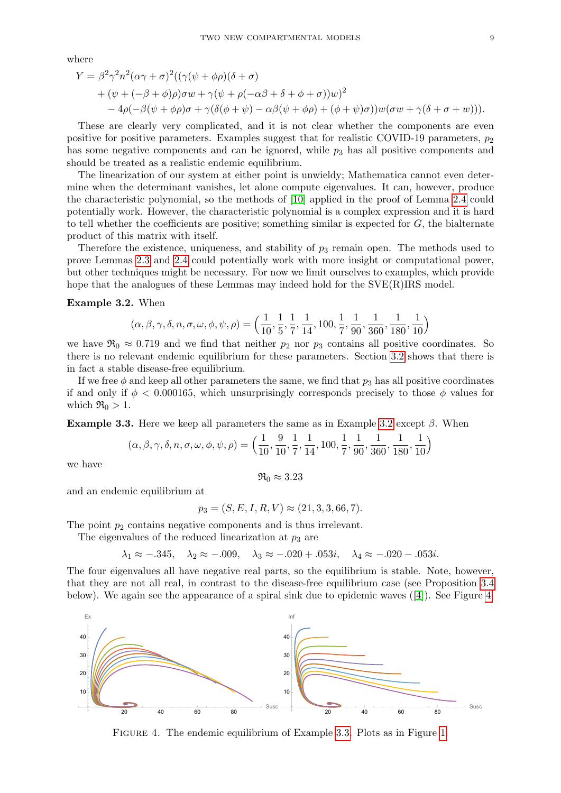where

$$
Y = \beta^2 \gamma^2 n^2 (\alpha \gamma + \sigma)^2 ((\gamma(\psi + \phi \rho)(\delta + \sigma))
$$
  
+  $(\psi + (-\beta + \phi)\rho)\sigma w + \gamma(\psi + \rho(-\alpha \beta + \delta + \phi + \sigma))w)^2$   
-  $4\rho(-\beta(\psi + \phi \rho)\sigma + \gamma(\delta(\phi + \psi) - \alpha \beta(\psi + \phi \rho) + (\phi + \psi)\sigma))w(\sigma w + \gamma(\delta + \sigma + w))).$ 

These are clearly very complicated, and it is not clear whether the components are even positive for positive parameters. Examples suggest that for realistic COVID-19 parameters,  $p_2$ has some negative components and can be ignored, while  $p<sub>3</sub>$  has all positive components and should be treated as a realistic endemic equilibrium.

The linearization of our system at either point is unwieldy; Mathematica cannot even determine when the determinant vanishes, let alone compute eigenvalues. It can, however, produce the characteristic polynomial, so the methods of [\[10\]](#page-11-17) applied in the proof of Lemma [2.4](#page-3-2) could potentially work. However, the characteristic polynomial is a complex expression and it is hard to tell whether the coefficients are positive; something similar is expected for  $G$ , the bialternate product of this matrix with itself.

Therefore the existence, uniqueness, and stability of  $p_3$  remain open. The methods used to prove Lemmas [2.3](#page-3-1) and [2.4](#page-3-2) could potentially work with more insight or computational power, but other techniques might be necessary. For now we limit ourselves to examples, which provide hope that the analogues of these Lemmas may indeed hold for the  $SVE(R)IRS$  model.

### <span id="page-8-0"></span>Example 3.2. When

$$
(\alpha, \beta, \gamma, \delta, n, \sigma, \omega, \phi, \psi, \rho) = \left(\frac{1}{10}, \frac{1}{5}, \frac{1}{7}, \frac{1}{14}, 100, \frac{1}{7}, \frac{1}{90}, \frac{1}{360}, \frac{1}{180}, \frac{1}{10}\right)
$$

we have  $\mathfrak{R}_0 \approx 0.719$  and we find that neither  $p_2$  nor  $p_3$  contains all positive coordinates. So there is no relevant endemic equilibrium for these parameters. Section [3.2](#page-9-1) shows that there is in fact a stable disease-free equilibrium.

If we free  $\phi$  and keep all other parameters the same, we find that  $p_3$  has all positive coordinates if and only if  $\phi < 0.000165$ , which unsurprisingly corresponds precisely to those  $\phi$  values for which  $\Re_0 > 1$ .

<span id="page-8-2"></span>Example 3.3. Here we keep all parameters the same as in Example [3.2](#page-8-0) except  $\beta$ . When

$$
(\alpha, \beta, \gamma, \delta, n, \sigma, \omega, \phi, \psi, \rho) = \left(\frac{1}{10}, \frac{9}{10}, \frac{1}{7}, \frac{1}{14}, 100, \frac{1}{7}, \frac{1}{90}, \frac{1}{360}, \frac{1}{180}, \frac{1}{10}\right)
$$

we have

 $\mathfrak{R}_0 \approx 3.23$ 

and an endemic equilibrium at

$$
p_3 = (S, E, I, R, V) \approx (21, 3, 3, 66, 7).
$$

The point  $p_2$  contains negative components and is thus irrelevant.

The eigenvalues of the reduced linearization at  $p_3$  are

 $\lambda_1 \approx -.345, \quad \lambda_2 \approx -.009, \quad \lambda_3 \approx -.020 + .053i, \quad \lambda_4 \approx -.020 - .053i.$ 

The four eigenvalues all have negative real parts, so the equilibrium is stable. Note, however, that they are not all real, in contrast to the disease-free equilibrium case (see Proposition [3.4](#page-9-2) below). We again see the appearance of a spiral sink due to epidemic waves  $([4])$  $([4])$  $([4])$ . See Figure [4.](#page-8-1)

<span id="page-8-1"></span>

Figure 4. The endemic equilibrium of Example [3.3.](#page-8-2) Plots as in Figure [1.](#page-5-1)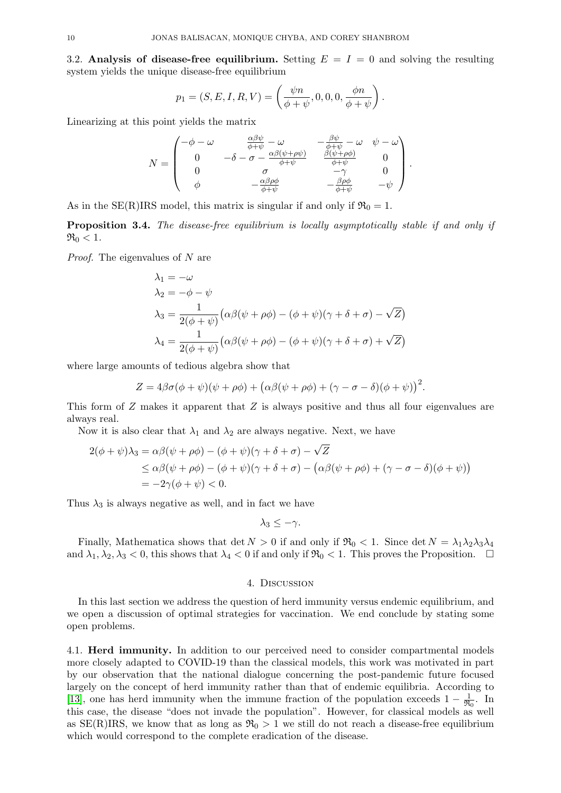<span id="page-9-1"></span>3.2. Analysis of disease-free equilibrium. Setting  $E = I = 0$  and solving the resulting system yields the unique disease-free equilibrium

$$
p_1 = (S, E, I, R, V) = \left(\frac{\psi n}{\phi + \psi}, 0, 0, 0, \frac{\phi n}{\phi + \psi}\right).
$$

Linearizing at this point yields the matrix

$$
N = \begin{pmatrix} -\phi - \omega & \frac{\alpha \beta \psi}{\phi + \psi} - \omega & -\frac{\beta \psi}{\phi + \psi} - \omega & \psi - \omega \\ 0 & -\delta - \sigma - \frac{\alpha \beta (\psi + \rho \psi)}{\phi + \psi} & \frac{\beta (\psi + \rho \phi)}{\phi + \psi} & 0 \\ 0 & \sigma & -\gamma & 0 \\ \phi & -\frac{\alpha \beta \rho \phi}{\phi + \psi} & -\frac{\beta \rho \phi}{\phi + \psi} & -\psi \end{pmatrix}.
$$

As in the SE(R)IRS model, this matrix is singular if and only if  $\mathfrak{R}_0 = 1$ .

<span id="page-9-2"></span>**Proposition 3.4.** The disease-free equilibrium is locally asymptotically stable if and only if  $\Re_0 < 1$ .

Proof. The eigenvalues of N are

$$
\lambda_1 = -\omega
$$
  
\n
$$
\lambda_2 = -\phi - \psi
$$
  
\n
$$
\lambda_3 = \frac{1}{2(\phi + \psi)} (\alpha \beta(\psi + \rho \phi) - (\phi + \psi)(\gamma + \delta + \sigma) - \sqrt{Z})
$$
  
\n
$$
\lambda_4 = \frac{1}{2(\phi + \psi)} (\alpha \beta(\psi + \rho \phi) - (\phi + \psi)(\gamma + \delta + \sigma) + \sqrt{Z})
$$

where large amounts of tedious algebra show that

$$
Z = 4\beta\sigma(\phi + \psi)(\psi + \rho\phi) + (\alpha\beta(\psi + \rho\phi) + (\gamma - \sigma - \delta)(\phi + \psi))^2.
$$

This form of Z makes it apparent that Z is always positive and thus all four eigenvalues are always real.

Now it is also clear that  $\lambda_1$  and  $\lambda_2$  are always negative. Next, we have

$$
2(\phi + \psi)\lambda_3 = \alpha\beta(\psi + \rho\phi) - (\phi + \psi)(\gamma + \delta + \sigma) - \sqrt{Z}
$$
  
\n
$$
\leq \alpha\beta(\psi + \rho\phi) - (\phi + \psi)(\gamma + \delta + \sigma) - (\alpha\beta(\psi + \rho\phi) + (\gamma - \sigma - \delta)(\phi + \psi))
$$
  
\n
$$
= -2\gamma(\phi + \psi) < 0.
$$

Thus  $\lambda_3$  is always negative as well, and in fact we have

$$
\lambda_3 \leq -\gamma.
$$

Finally, Mathematica shows that det  $N > 0$  if and only if  $\Re_0 < 1$ . Since det  $N = \lambda_1 \lambda_2 \lambda_3 \lambda_4$ and  $\lambda_1, \lambda_2, \lambda_3 < 0$ , this shows that  $\lambda_4 < 0$  if and only if  $\Re_0 < 1$ . This proves the Proposition.  $\Box$ 

## 4. Discussion

In this last section we address the question of herd immunity versus endemic equilibrium, and we open a discussion of optimal strategies for vaccination. We end conclude by stating some open problems.

<span id="page-9-0"></span>4.1. Herd immunity. In addition to our perceived need to consider compartmental models more closely adapted to COVID-19 than the classical models, this work was motivated in part by our observation that the national dialogue concerning the post-pandemic future focused largely on the concept of herd immunity rather than that of endemic equilibria. According to [\[13\]](#page-11-13), one has herd immunity when the immune fraction of the population exceeds  $1 - \frac{1}{28}$  $\frac{1}{\Re_0}$ . In this case, the disease "does not invade the population". However, for classical models as well as  $SE(R)IRS$ , we know that as long as  $\mathfrak{R}_0 > 1$  we still do not reach a disease-free equilibrium which would correspond to the complete eradication of the disease.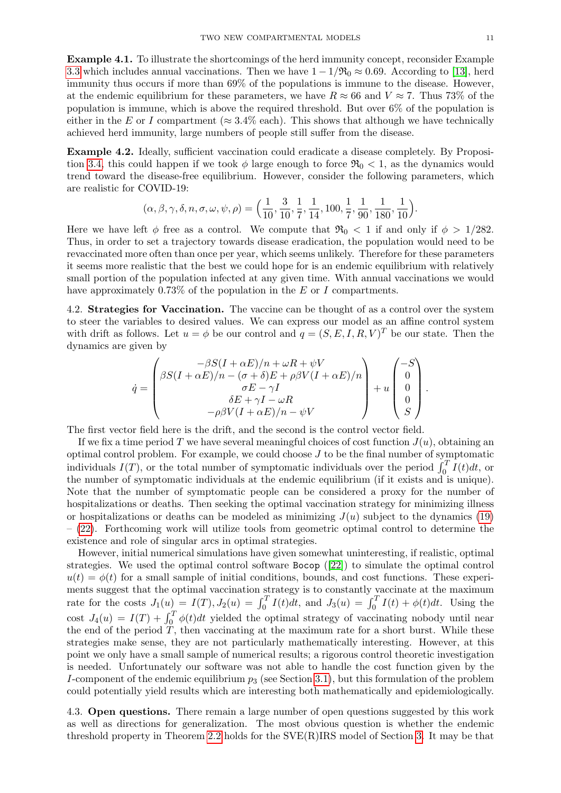Example 4.1. To illustrate the shortcomings of the herd immunity concept, reconsider Example [3.3](#page-8-2) which includes annual vaccinations. Then we have  $1 - 1/\Re_0 \approx 0.69$ . According to [\[13\]](#page-11-13), herd immunity thus occurs if more than 69% of the populations is immune to the disease. However, at the endemic equilibrium for these parameters, we have  $R \approx 66$  and  $V \approx 7$ . Thus 73% of the population is immune, which is above the required threshold. But over 6% of the population is either in the E or I compartment ( $\approx 3.4\%$  each). This shows that although we have technically achieved herd immunity, large numbers of people still suffer from the disease.

Example 4.2. Ideally, sufficient vaccination could eradicate a disease completely. By Proposi-tion [3.4,](#page-9-2) this could happen if we took  $\phi$  large enough to force  $\Re_0 < 1$ , as the dynamics would trend toward the disease-free equilibrium. However, consider the following parameters, which are realistic for COVID-19:

$$
(\alpha, \beta, \gamma, \delta, n, \sigma, \omega, \psi, \rho) = \left(\frac{1}{10}, \frac{3}{10}, \frac{1}{7}, \frac{1}{14}, 100, \frac{1}{7}, \frac{1}{90}, \frac{1}{180}, \frac{1}{10}\right).
$$

Here we have left  $\phi$  free as a control. We compute that  $\Re_0 < 1$  if and only if  $\phi > 1/282$ . Thus, in order to set a trajectory towards disease eradication, the population would need to be revaccinated more often than once per year, which seems unlikely. Therefore for these parameters it seems more realistic that the best we could hope for is an endemic equilibrium with relatively small portion of the population infected at any given time. With annual vaccinations we would have approximately 0.73% of the population in the  $E$  or  $I$  compartments.

<span id="page-10-0"></span>4.2. Strategies for Vaccination. The vaccine can be thought of as a control over the system to steer the variables to desired values. We can express our model as an affine control system with drift as follows. Let  $u = \phi$  be our control and  $q = (S, E, I, R, V)^T$  be our state. Then the dynamics are given by

$$
\dot{q} = \begin{pmatrix} -\beta S(I + \alpha E)/n + \omega R + \psi V \\ \beta S(I + \alpha E)/n - (\sigma + \delta)E + \rho \beta V(I + \alpha E)/n \\ \sigma E - \gamma I \\ \delta E + \gamma I - \omega R \\ -\rho \beta V(I + \alpha E)/n - \psi V \end{pmatrix} + u \begin{pmatrix} -S \\ 0 \\ 0 \\ 0 \\ S \end{pmatrix}.
$$

The first vector field here is the drift, and the second is the control vector field.

If we fix a time period T we have several meaningful choices of cost function  $J(u)$ , obtaining an optimal control problem. For example, we could choose  $J$  to be the final number of symptomatic individuals  $I(T)$ , or the total number of symptomatic individuals over the period  $\int_0^T I(t)dt$ , or the number of symptomatic individuals at the endemic equilibrium (if it exists and is unique). Note that the number of symptomatic people can be considered a proxy for the number of hospitalizations or deaths. Then seeking the optimal vaccination strategy for minimizing illness or hospitalizations or deaths can be modeled as minimizing  $J(u)$  subject to the dynamics [\(19\)](#page-7-0) – [\(22\)](#page-7-1). Forthcoming work will utilize tools from geometric optimal control to determine the existence and role of singular arcs in optimal strategies.

However, initial numerical simulations have given somewhat uninteresting, if realistic, optimal strategies. We used the optimal control software Bocop ([\[22\]](#page-11-18)) to simulate the optimal control  $u(t) = \phi(t)$  for a small sample of initial conditions, bounds, and cost functions. These experiments suggest that the optimal vaccination strategy is to constantly vaccinate at the maximum rate for the costs  $J_1(u) = I(T)$ ,  $J_2(u) = \int_0^T I(t) dt$ , and  $J_3(u) = \int_0^T I(t) + \phi(t) dt$ . Using the cost  $J_4(u) = I(T) + \int_0^T \phi(t)dt$  yielded the optimal strategy of vaccinating nobody until near the end of the period  $T$ , then vaccinating at the maximum rate for a short burst. While these strategies make sense, they are not particularly mathematically interesting. However, at this point we only have a small sample of numerical results; a rigorous control theoretic investigation is needed. Unfortunately our software was not able to handle the cost function given by the I-component of the endemic equilibrium  $p_3$  (see Section [3.1\)](#page-7-2), but this formulation of the problem could potentially yield results which are interesting both mathematically and epidemiologically.

4.3. Open questions. There remain a large number of open questions suggested by this work as well as directions for generalization. The most obvious question is whether the endemic threshold property in Theorem [2.2](#page-3-0) holds for the SVE(R)IRS model of Section [3.](#page-6-0) It may be that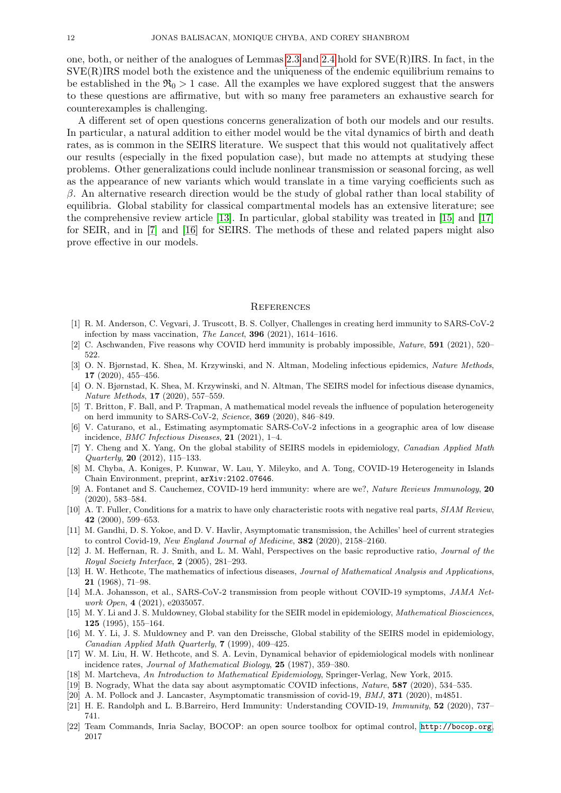one, both, or neither of the analogues of Lemmas [2.3](#page-3-1) and [2.4](#page-3-2) hold for SVE(R)IRS. In fact, in the  $SVE(R)IRS$  model both the existence and the uniqueness of the endemic equilibrium remains to be established in the  $\Re_0 > 1$  case. All the examples we have explored suggest that the answers to these questions are affirmative, but with so many free parameters an exhaustive search for counterexamples is challenging.

A different set of open questions concerns generalization of both our models and our results. In particular, a natural addition to either model would be the vital dynamics of birth and death rates, as is common in the SEIRS literature. We suspect that this would not qualitatively affect our results (especially in the fixed population case), but made no attempts at studying these problems. Other generalizations could include nonlinear transmission or seasonal forcing, as well as the appearance of new variants which would translate in a time varying coefficients such as  $β$ . An alternative research direction would be the study of global rather than local stability of equilibria. Global stability for classical compartmental models has an extensive literature; see the comprehensive review article [\[13\]](#page-11-13). In particular, global stability was treated in [\[15\]](#page-11-19) and [\[17\]](#page-11-16) for SEIR, and in [\[7\]](#page-11-20) and [\[16\]](#page-11-21) for SEIRS. The methods of these and related papers might also prove effective in our models.

#### **REFERENCES**

- <span id="page-11-8"></span>[1] R. M. Anderson, C. Vegvari, J. Truscott, B. S. Collyer, Challenges in creating herd immunity to SARS-CoV-2 infection by mass vaccination, The Lancet, 396 (2021), 1614–1616.
- <span id="page-11-9"></span>[2] C. Aschwanden, Five reasons why COVID herd immunity is probably impossible, Nature, 591 (2021), 520– 522.
- <span id="page-11-0"></span>[3] O. N. Bjørnstad, K. Shea, M. Krzywinski, and N. Altman, Modeling infectious epidemics, Nature Methods, 17 (2020), 455–456.
- <span id="page-11-2"></span>[4] O. N. Bjørnstad, K. Shea, M. Krzywinski, and N. Altman, The SEIRS model for infectious disease dynamics, Nature Methods, 17 (2020), 557–559.
- <span id="page-11-10"></span>[5] T. Britton, F. Ball, and P. Trapman, A mathematical model reveals the influence of population heterogeneity on herd immunity to SARS-CoV-2, Science, 369 (2020), 846–849.
- <span id="page-11-3"></span>[6] V. Caturano, et al., Estimating asymptomatic SARS-CoV-2 infections in a geographic area of low disease incidence, BMC Infectious Diseases, 21 (2021), 1–4.
- <span id="page-11-20"></span>[7] Y. Cheng and X. Yang, On the global stability of SEIRS models in epidemiology, Canadian Applied Math  $Quarterly, 20 (2012), 115-133.$
- <span id="page-11-14"></span>[8] M. Chyba, A. Koniges, P. Kunwar, W. Lau, Y. Mileyko, and A. Tong, COVID-19 Heterogeneity in Islands Chain Environment, preprint, arXiv:2102.07646.
- <span id="page-11-11"></span>[9] A. Fontanet and S. Cauchemez, COVID-19 herd immunity: where are we?, Nature Reviews Immunology, 20 (2020), 583–584.
- <span id="page-11-17"></span>[10] A. T. Fuller, Conditions for a matrix to have only characteristic roots with negative real parts, SIAM Review, 42 (2000), 599–653.
- <span id="page-11-5"></span>[11] M. Gandhi, D. S. Yokoe, and D. V. Havlir, Asymptomatic transmission, the Achilles' heel of current strategies to control Covid-19, New England Journal of Medicine, 382 (2020), 2158–2160.
- <span id="page-11-15"></span>[12] J. M. Heffernan, R. J. Smith, and L. M. Wahl, Perspectives on the basic reproductive ratio, *Journal of the* Royal Society Interface, 2 (2005), 281–293.
- <span id="page-11-13"></span>[13] H. W. Hethcote, The mathematics of infectious diseases, Journal of Mathematical Analysis and Applications, 21 (1968), 71–98.
- <span id="page-11-4"></span>[14] M.A. Johansson, et al., SARS-CoV-2 transmission from people without COVID-19 symptoms, JAMA Network Open, 4 (2021), e2035057.
- <span id="page-11-19"></span>[15] M. Y. Li and J. S. Muldowney, Global stability for the SEIR model in epidemiology, Mathematical Biosciences, 125 (1995), 155–164.
- <span id="page-11-21"></span>[16] M. Y. Li, J. S. Muldowney and P. van den Dreissche, Global stability of the SEIRS model in epidemiology, Canadian Applied Math Quarterly, 7 (1999), 409–425.
- <span id="page-11-16"></span>[17] W. M. Liu, H. W. Hethcote, and S. A. Levin, Dynamical behavior of epidemiological models with nonlinear incidence rates, Journal of Mathematical Biology, 25 (1987), 359–380.
- <span id="page-11-1"></span>[18] M. Martcheva, An Introduction to Mathematical Epidemiology, Springer-Verlag, New York, 2015.
- <span id="page-11-6"></span>[19] B. Nogrady, What the data say about asymptomatic COVID infections, Nature, 587 (2020), 534–535.
- <span id="page-11-7"></span>[20] A. M. Pollock and J. Lancaster, Asymptomatic transmission of covid-19, *BMJ*, **371** (2020), m4851.
- <span id="page-11-12"></span>[21] H. E. Randolph and L. B.Barreiro, Herd Immunity: Understanding COVID-19, Immunity, 52 (2020), 737– 741.
- <span id="page-11-18"></span>[22] Team Commands, Inria Saclay, BOCOP: an open source toolbox for optimal control, <http://bocop.org>, 2017